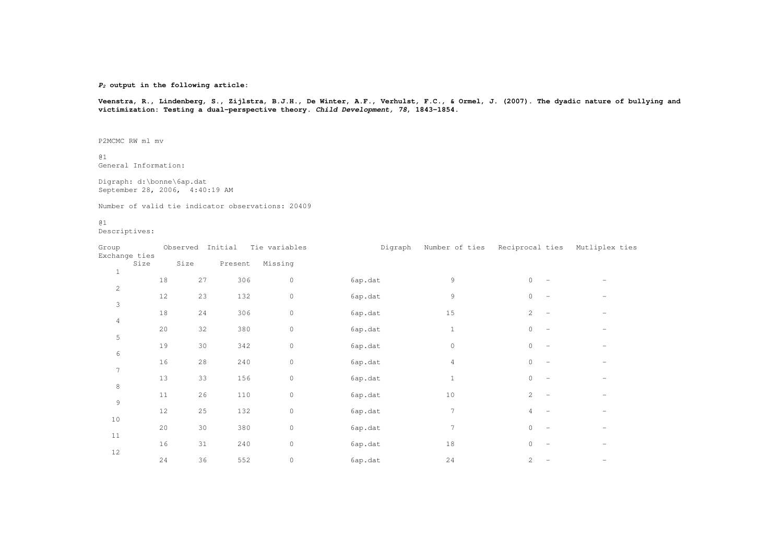*P2* **output in the following article:**

Veenstra, R., Lindenberg, S., Zijlstra, B.J.H., De Winter, A.F., Verhulst, F.C., & Ormel, J. (2007). The dyadic nature of bullying and **victimization: Testing <sup>a</sup> dual-perspective theory.** *Child Development, 78***, 1843-1854.**

P2MCMC RW ml mv

@1.<br>General Information:

Digraph: d:\bonne\6ap.dat September 28, 2006, 4:40:19 AM

Number of valid tie indicator observations: 20409

@1

.<br>Descriptives:

| Group<br>Exchange ties |      |    | Observed Initial |         | Tie variables       | Digraph | Number of ties | Reciprocal ties       | Mutliplex ties |
|------------------------|------|----|------------------|---------|---------------------|---------|----------------|-----------------------|----------------|
|                        | Size |    | Size             | Present | Missing             |         |                |                       |                |
| $1\,$                  |      | 18 | 27               | 306     | $\mathbb O$         | 6ap.dat | 9              | $\circ$               |                |
| $\overline{c}$         |      | 12 | 23               | 132     | $\mathbb O$         | 6ap.dat | 9              | $\mathbf 0$           |                |
| 3                      |      | 18 | 24               | 306     | $\mathbb O$         | 6ap.dat | 15             | $\mathbf{2}^{\prime}$ |                |
| $\overline{4}$         |      | 20 | 32               | 380     | $\mathbb O$         | 6ap.dat | $\mathbf{1}$   | $\mathbf 0$           |                |
| 5                      |      | 19 | 30               | 342     | $\mathbb O$         | 6ap.dat | $\circ$        | $\mathbf 0$           |                |
| 6                      |      | 16 |                  |         | $\mathsf{O}\xspace$ |         |                | $\mathbf 0$           |                |
| $\overline{7}$         |      |    | 28               | 240     |                     | 6ap.dat | 4              |                       |                |
| $\,8\,$                |      | 13 | 33               | 156     | $\mathbb O$         | 6ap.dat | $\mathbf{1}$   | $\mathsf{O}\xspace$   |                |
| $\mathsf 9$            |      | 11 | 26               | 110     | $\mathbb O$         | 6ap.dat | 10             | $\mathbf{2}^{\prime}$ |                |
| 10                     |      | 12 | 25               | 132     | $\mathbb O$         | 6ap.dat | 7              | $\overline{4}$        |                |
| $1\,1$                 |      | 20 | 30               | 380     | $\mathsf{O}\xspace$ | 6ap.dat | 7              | $\mathbf 0$           |                |
|                        |      | 16 | 31               | 240     | $\mathbb O$         | 6ap.dat | 18             | $\circ$               |                |
| $12$                   |      | 24 | 36               | 552     | 0                   | 6ap.dat | 24             | $\overline{2}$        |                |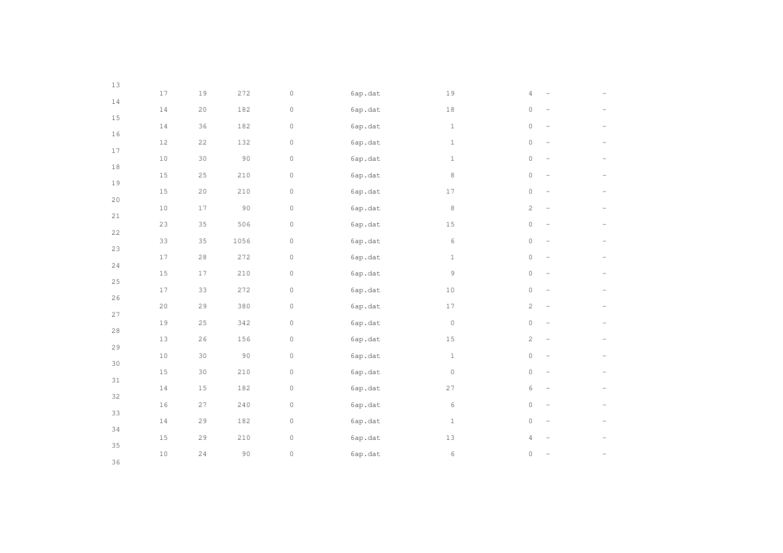| 13          |        |             |           |                     |         |                     |                                                 |  |
|-------------|--------|-------------|-----------|---------------------|---------|---------------------|-------------------------------------------------|--|
|             | $1\,7$ | $19\,$      | 272       | $\mathsf{O}\xspace$ | 6ap.dat | 19                  | $\overline{4}$                                  |  |
| $1\,4$      | $1\,4$ | $20$        | 182       | $\mathsf{O}\xspace$ | 6ap.dat | $1\,8$              | $\circ$                                         |  |
| $15\,$      | $1\,4$ | 36          | 182       | $\mathsf{O}\xspace$ | 6ap.dat | $\mathbf{1}$        | $\mathbb O$<br>$\overline{\phantom{a}}$         |  |
| $16$        | $12\,$ | 22          | 132       | $\mathbb O$         | 6ap.dat | $1\,$               | $\mathsf{O}\xspace$<br>$\overline{\phantom{0}}$ |  |
| $17\,$      | $1\,0$ | 30          | 90        | $\mathsf{O}\xspace$ | 6ap.dat | $\,1\,$             | $\mathsf{O}\xspace$<br>$\overline{\phantom{0}}$ |  |
| $1\,8$      | $15\,$ | 25          | 210       | $\mathsf{O}\xspace$ | 6ap.dat | 8                   | $\circ$<br>$\overline{\phantom{a}}$             |  |
| 19          | $15\,$ | 20          | 210       | $\mathbb O$         | 6ap.dat | 17                  | $\circ$<br>$\overline{\phantom{0}}$             |  |
| 20          |        |             |           |                     |         |                     |                                                 |  |
| $2\sqrt{1}$ | $1\,0$ | $1\,7$      | $90$      | $\mathsf{O}\xspace$ | 6ap.dat | $\,8\,$             | $\sqrt{2}$<br>$\overline{\phantom{a}}$          |  |
| 22          | 23     | 35          | 506       | $\mathbb O$         | 6ap.dat | $15\,$              | $\mathsf{O}\xspace$                             |  |
| 23          | 33     | 35          | 1056      | $\mathbb O$         | 6ap.dat | 6                   | $\circ$<br>$\overline{\phantom{0}}$             |  |
| 24          | $17\,$ | $2\,8$      | 272       | $\mathsf{O}\xspace$ | 6ap.dat | $1\,$               | $\mathsf{O}\xspace$<br>$\overline{\phantom{0}}$ |  |
| 25          | $1\,5$ | $17\,$      | 210       | $\mathsf{O}\xspace$ | 6ap.dat | 9                   | $\mathsf{O}\xspace$<br>$\qquad \qquad -$        |  |
| 26          | $17$   | 33          | 272       | $\mathsf{O}\xspace$ | 6ap.dat | $1\,0$              | $\circ$<br>$\qquad \qquad -$                    |  |
|             | $20$   | $2\,9$      | 380       | $\mathsf{O}\xspace$ | 6ap.dat | 17                  | $\sqrt{2}$<br>$\overline{\phantom{0}}$          |  |
| 27          | 19     | $2\sqrt{5}$ | 342       | $\mathsf{O}\xspace$ | 6ap.dat | $\mathsf{O}\xspace$ | $\mathsf{O}\xspace$<br>$\overline{\phantom{a}}$ |  |
| $2\,8$      | 13     | $2\sqrt{6}$ | 156       | $\mathsf{O}\xspace$ | 6ap.dat | 15                  | $\mathbf{2}$<br>$\qquad \qquad -$               |  |
| 29          | $1\,0$ | 30          | $90\,$    | $\mathsf{O}\xspace$ | 6ap.dat | $1\,$               | $\mathsf{O}\xspace$<br>$\qquad \qquad -$        |  |
| 30          | $15\,$ | 30          | 210       | $\mathsf{O}\xspace$ | 6ap.dat | $\circ$             | $\circ$<br>$\overline{\phantom{0}}$             |  |
| 31          | $1\,4$ | $1\,5$      | 182       | $\mathsf{O}\xspace$ | 6ap.dat | 27                  | $\epsilon$                                      |  |
| 32          | $16\,$ | 27          | 240       | $\mathbb O$         | 6ap.dat | 6                   | $\circ$<br>$\overline{\phantom{a}}$             |  |
| 33          | $1\,4$ | 29          | 182       | $\mathsf{O}\xspace$ | 6ap.dat | $1\,$               | $\circ$<br>$\overline{\phantom{0}}$             |  |
| 34          |        |             |           |                     |         |                     |                                                 |  |
| 35          | $1\,5$ | $2\,9$      | $2\,1\,0$ | $\mathbb O$         | 6ap.dat | 13                  | $\overline{4}$                                  |  |
| 36          | $1\,0$ | $2\,4$      | $90\,$    | $\mathsf{O}\xspace$ | 6ap.dat | $\epsilon$          | $\mathsf{O}\xspace$                             |  |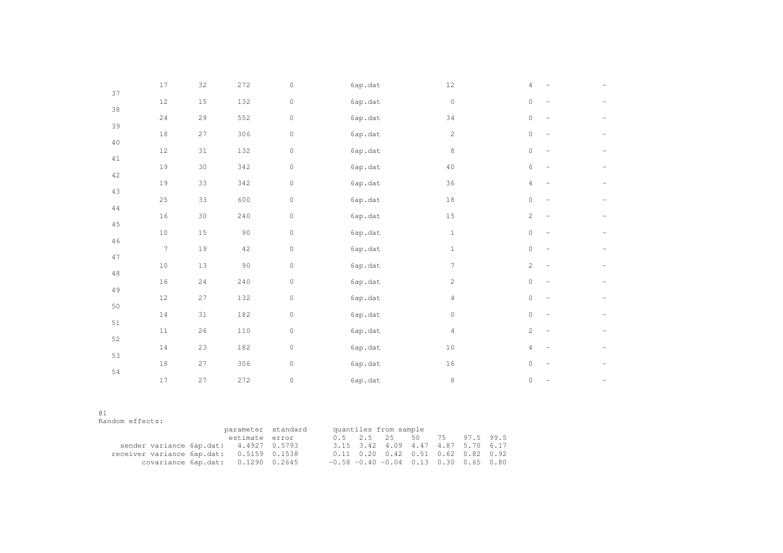| 37     | $17\,$ | 32          | 272    | $\mathsf{O}\xspace$ | 6ap.dat  | $12\,$         | 4                                                 |  |
|--------|--------|-------------|--------|---------------------|----------|----------------|---------------------------------------------------|--|
| 38     | $12\,$ | $1\,5$      | 132    | $\mathsf{O}\xspace$ | 6ap.dat  | $\mathbb O$    | $\circ$<br>$\overline{\phantom{a}}$               |  |
|        | 24     | 29          | 552    | $\circ$             | 6ap.dat  | 34             | $\circ$<br>$\overline{\phantom{a}}$               |  |
| 39     | $1\,8$ | 27          | 306    | $\mathsf{O}\xspace$ | 6ap.dat  | $\overline{c}$ | $\circ$<br>$\equiv$                               |  |
| $4\,0$ | $12\,$ | $3\sqrt{1}$ | 132    | $\mathsf{O}\xspace$ | 6ap.data | $\,8\,$        | $\circ$<br>$\overline{\phantom{a}}$               |  |
| 41     | 19     | $30$        | 342    | $\mathsf{O}\xspace$ | 6ap.data | $40$           | 6<br>$\overline{\phantom{a}}$                     |  |
| 42     | 19     | 33          | 342    | $\mathsf{O}\xspace$ | 6ap.dat  | 36             | 4<br>$\overline{\phantom{m}}$                     |  |
| 43     | $2\,5$ | 33          | 600    | $\mathsf{O}\xspace$ | 6ap.dat  | $1\,8$         | $\circ$<br>$\overline{\phantom{m}}$               |  |
| $4\,4$ | $16$   | $30$        | 240    | $\mathsf{O}\xspace$ | 6ap.dat  | $15\,$         | $\mathbf{2}^{\prime}$<br>$\overline{\phantom{a}}$ |  |
| $4\,5$ | $10$   | $15\,$      | 90     | $\mathsf{O}\xspace$ | 6ap.dat  | $1\,$          | $\circ$<br>$\overline{\phantom{a}}$               |  |
| $4\,6$ | 7      | 19          | $4\,2$ | $\mathsf{O}\xspace$ | 6ap.dat  | $1\,$          | $\circ$<br>$\overline{\phantom{a}}$               |  |
| 47     | $10$   | 13          | $90$   | $\mathsf{O}\xspace$ | 6ap.dat  | 7              | $\mathbf{2}^{\prime}$<br>$\overline{\phantom{a}}$ |  |
| $4\,8$ | $16$   | 24          | 240    | $\mathsf{O}\xspace$ | 6ap.dat  | $\mathbf{2}$   | 0<br>$\equiv$                                     |  |
| 49     | $12\,$ | 27          | 132    | $\mathsf{O}\xspace$ | 6ap.dat  | $\overline{4}$ | $\circ$<br>$\overline{\phantom{a}}$               |  |
| $50\,$ | $1\,4$ | $3\sqrt{1}$ | 182    | $\mathsf{O}\xspace$ | 6ap.dat  | $\mathbb O$    | $\mathsf{O}\xspace$<br>$\overline{\phantom{a}}$   |  |
| 51     | $1\,1$ | $2\sqrt{6}$ | $110$  | $\mathsf{O}\xspace$ | 6ap.data | $\overline{4}$ | $\mathbf{2}^{\prime}$<br>$\overline{\phantom{a}}$ |  |
| 52     | $1\,4$ | 23          | 182    | $\mathsf{O}\xspace$ | 6ap.data | $10$           | 4<br>$\overline{\phantom{a}}$                     |  |
| 53     | $1\,8$ | 27          | 306    | $\circ$             | 6ap.dat  | 16             | $\circ$<br>$\overline{\phantom{a}}$               |  |
| $5\,4$ | 17     | 27          | 272    | $\mathsf{O}\xspace$ | 6ap.dat  | $\,8\,$        | $\circ$<br>$\overline{\phantom{0}}$               |  |
|        |        |             |        |                     |          |                |                                                   |  |

# $01$

Random effects:

|                                          | parameter standard |  |  | quantiles from sample                            |  |  |
|------------------------------------------|--------------------|--|--|--------------------------------------------------|--|--|
|                                          | estimate error     |  |  | 0.5 2.5 2.5 50 7.5 97.5 99.5                     |  |  |
| sender variance 6ap.dat: 4.4927 0.5793   |                    |  |  | 3.15 3.42 4.09 4.47 4.87 5.70 6.17               |  |  |
| receiver variance 6ap.dat: 0.5159 0.1538 |                    |  |  | $0.11$ $0.20$ $0.42$ $0.51$ $0.62$ $0.82$ $0.92$ |  |  |
| covariance $6ap.dat: 0.1290 0.2645$      |                    |  |  | $-0.58 - 0.40 - 0.04$ 0.13 0.30 0.65 0.80        |  |  |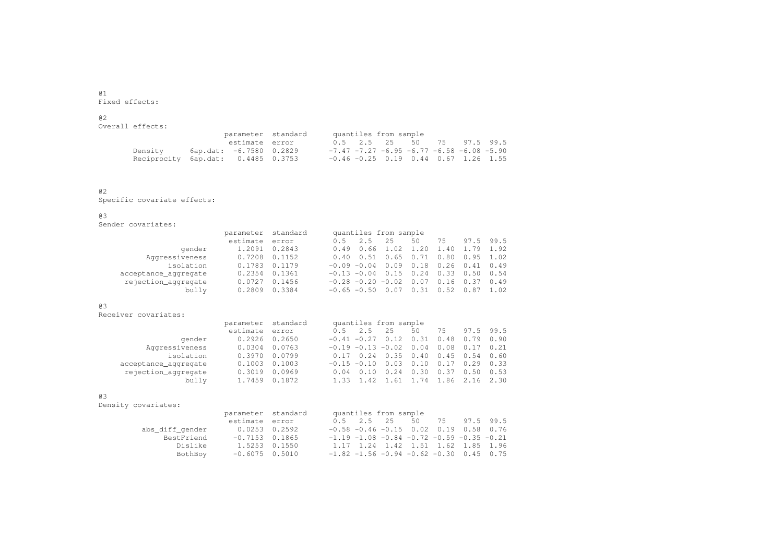@1.<br>Fixed effects:

# @2

| Overall effects:                   |                         |  |  |                       |                                                         |  |
|------------------------------------|-------------------------|--|--|-----------------------|---------------------------------------------------------|--|
|                                    | parameter standard      |  |  | quantiles from sample |                                                         |  |
|                                    | estimate error          |  |  |                       | 0.5 2.5 2.5 50 7.5 97.5 99.5                            |  |
| Densitv                            | 6ap.dat: -6.7580 0.2829 |  |  |                       | $-7.47$ $-7.27$ $-6.95$ $-6.77$ $-6.58$ $-6.08$ $-5.90$ |  |
| Reciprocity 6ap.dat: 0.4485 0.3753 |                         |  |  |                       | $-0.46 - 0.25$ 0.19 0.44 0.67 1.26 1.55                 |  |

# @2

.<br>Specific covariate effects:

# @3

.<br>Sender covariates:

|                      |          | quantiles from sample<br>parameter standard |                |                |         |      |      |           |             |
|----------------------|----------|---------------------------------------------|----------------|----------------|---------|------|------|-----------|-------------|
|                      | estimate | error                                       | 0.5            | 2.5            | 2.5     | 50   | 75   |           | 97.5 99.5   |
| gender               | 1.2091   | 0.2843                                      | 0.49           | 0.66           | 1.02    | 1.20 | 1.40 | 1.79 1.92 |             |
| Aggressiveness       | 0.7208   | 0.1152                                      | 0.40           | 0.51           | 0.65    | 0.71 | 0.80 |           | $0.95$ 1.02 |
| isolation            | 0.1783   | 0.1179                                      |                | $-0.09 - 0.04$ | 0.09    | 0.18 | 0.26 | 0.41      | 0.49        |
| acceptance aggregate | 0.2354   | 0.1361                                      |                | $-0.13 - 0.04$ | 0.15    | 0.24 | 0.33 | 0.50      | 0.54        |
| rejection aggregate  | 0.0727   | 0.1456                                      |                | $-0.28 - 0.20$ | $-0.02$ | 0.07 | 0.16 | 0.37      | 0.49        |
| bully                | 0.2809   | 0.3384                                      | $-0.65 - 0.50$ |                |         | 0.31 | 0.52 | 0.87      | 1.02        |

# @3

.<br>Receiver covariates:

|                      | parameter standard |                   | quantiles from sample                                 |
|----------------------|--------------------|-------------------|-------------------------------------------------------|
|                      | estimate error     |                   | $0.5$ 2.5 25<br>97.5 99.5<br>50<br>75                 |
| gender               | 0.2926 0.2650      |                   | $-0.41 - 0.27$ 0.12 0.31 0.48 0.79 0.90               |
| Aggressiveness       | 0.0304 0.0763      |                   | $-0.19 - 0.13 - 0.02$ 0.04 0.08 0.17 0.21             |
| isolation            | 0.3970 0.0799      |                   | $0.17$ 0.24 0.35 0.40 0.45 0.54 0.60                  |
| acceptance aggregate | $0.1003$ $0.1003$  |                   | $-0.15 - 0.10$ 0.03 0.10 0.17 0.29 0.33               |
| rejection aggregate  |                    | $0.3019$ $0.0969$ | $0.37$ $0.50$ $0.53$<br>0.30<br>0.24<br>$0.04$ $0.10$ |
| bully                | 1.7459 0.1872      |                   | 1.33 1.42 1.61 1.74 1.86 2.16 2.30                    |

# @3

.<br>Density covariates:

| covariates:     |                    |  |                                                   |  |  |  |
|-----------------|--------------------|--|---------------------------------------------------|--|--|--|
|                 | parameter standard |  | quantiles from sample                             |  |  |  |
|                 | estimate error     |  | 0.5 2.5 25 50 75 97.5 99.5                        |  |  |  |
| abs diff gender | $0.0253$ 0.2592    |  | $-0.58 - 0.46 - 0.15$ 0.02 0.19 0.58 0.76         |  |  |  |
| BestFriend      | $-0.7153$ 0.1865   |  | $-1.19 - 1.08 - 0.84 - 0.72 - 0.59 - 0.35 - 0.21$ |  |  |  |
| Dislike         | 1.5253 0.1550      |  | 1.17 1.24 1.42 1.51 1.62 1.85 1.96                |  |  |  |
| BothBoy         | $-0.6075$ 0.5010   |  | $-1.82$ $-1.56$ $-0.94$ $-0.62$ $-0.30$ 0.45 0.75 |  |  |  |
|                 |                    |  |                                                   |  |  |  |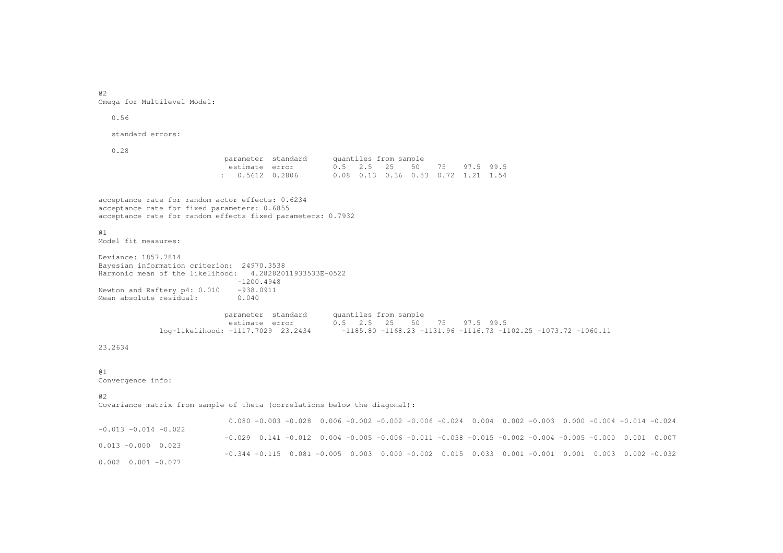a2 .<br>Omega for Multilevel Model:

0.56

standard errors:

0.28

parameter standard quantiles from sample estimate error  $0.5$  2.5 25 50 75 97.5 99.5 :  $0.5612$  0.2806 0.5612 0.2806 0.08 0.13 0.36 0.53 0.72 1.21 1.54

acceptance rate for random actor effects: 0.6234 acceptance rate for fixed parameters: 0.6855 acceptance rate for random effects fixed parameters: 0.7932

@1.<br>Model fit measures:

Deviance: 1857.7814 Bayesian information criterion: 24970.3538 Harmonic mean of the likelihood: 4.28282011933533E-0522 -1200.4948Newton and Raftery p4: 0.010 -938.0911 Mean absolute residual: 0.040

> parameter standard quantiles from sample estimate error 0.5 2.5 25 50 75 97.5 99.5 log-likelihood: -1117.7029 23.2434 -1185.80 -1168.23 -1131.96 -1116.73 -1102.25 -1073.72 -1060.11

# 23.2634

## @1

Convergence info:

@2

.<br>Covariance matrix from sample of theta (correlations below the diagonal):

0.080 -0.003 -0.028 0.006 -0.002 -0.002 -0.006 -0.024 0.004 0.002 -0.003 0.000 -0.004 -0.014 -0.024 -0.013 -0.014 -0.022 -0.029 0.141 -0.012 0.004 -0.005 -0.006 -0.011 -0.038 -0.015 -0.002 -0.004 -0.005 -0.000 0.001 0.007 0.013 -0.000 0.023 -0.344 -0.115 0.081 -0.005 0.003 0.000 -0.002 0.015 0.033 0.001 -0.001 0.001 0.003 0.002 -0.032 0.002 0.001 -0.077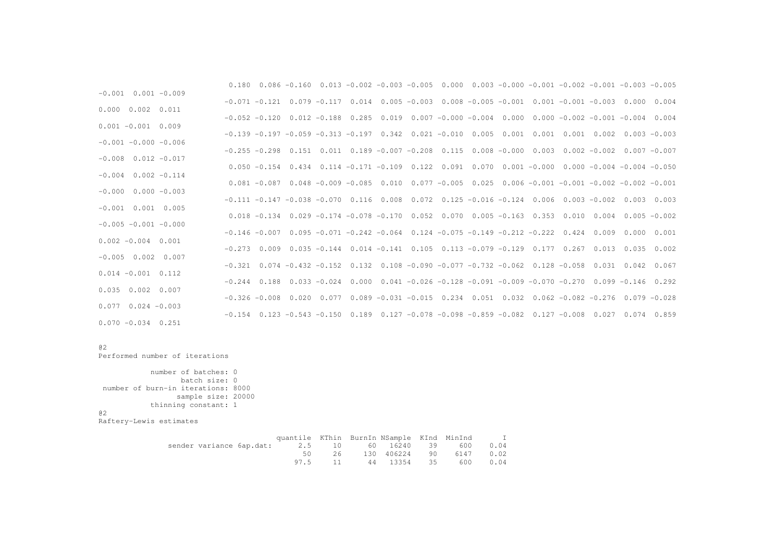| $-0.001$ $0.001$ $-0.009$ |  |  |  |  |                                                                                                          |  | $0.180$ $0.086$ $-0.160$ $0.013$ $-0.002$ $-0.003$ $-0.005$ $0.000$ $0.003$ $-0.000$ $-0.001$ $-0.002$ $-0.001$ $-0.003$ $-0.005$ |  |
|---------------------------|--|--|--|--|----------------------------------------------------------------------------------------------------------|--|-----------------------------------------------------------------------------------------------------------------------------------|--|
|                           |  |  |  |  |                                                                                                          |  | $-0.071$ $-0.121$ 0.079 $-0.117$ 0.014 0.005 $-0.003$ 0.008 $-0.005$ $-0.001$ 0.001 $-0.001$ $-0.001$ $-0.003$ 0.000 0.004        |  |
| $0.000$ $0.002$ $0.011$   |  |  |  |  |                                                                                                          |  | $-0.052$ $-0.120$ 0.012 $-0.188$ 0.285 0.019 0.007 $-0.000$ $-0.004$ 0.000 0.000 $-0.002$ $-0.001$ $-0.004$ 0.004                 |  |
| $0.001 - 0.001 0.009$     |  |  |  |  |                                                                                                          |  | $-0.139 - 0.197 - 0.059 - 0.313 - 0.197$ $0.342$ $0.021 - 0.010$ $0.005$ $0.001$ $0.001$ $0.001$ $0.002$ $0.003$ $-0.003$         |  |
| $-0.001 - 0.000 - 0.006$  |  |  |  |  |                                                                                                          |  |                                                                                                                                   |  |
| $-0.008$ $0.012$ $-0.017$ |  |  |  |  |                                                                                                          |  | $-0.255 -0.298$ $0.151$ $0.011$ $0.189 -0.007 -0.208$ $0.115$ $0.008$ $-0.000$ $0.003$ $0.002$ $-0.002$ $0.007$ $-0.007$          |  |
|                           |  |  |  |  |                                                                                                          |  | $0.050 - 0.154$ $0.434$ $0.114$ $-0.171$ $-0.109$ $0.122$ $0.091$ $0.070$ $0.001$ $-0.000$ $0.000$ $-0.004$ $-0.004$ $-0.050$     |  |
| $-0.004$ $0.002$ $-0.114$ |  |  |  |  |                                                                                                          |  | $0.081 - 0.087$ $0.048 - 0.009 - 0.085$ $0.010$ $0.077 - 0.005$ $0.025$ $0.006 - 0.001 - 0.001 - 0.002 - 0.002 - 0.001$           |  |
| $-0.000$ $0.000$ $-0.003$ |  |  |  |  |                                                                                                          |  | $-0.111$ $-0.147$ $-0.038$ $-0.070$ $0.116$ $0.008$ $0.072$ $0.125$ $-0.016$ $-0.124$ $0.006$ $0.003$ $-0.002$ $0.003$ $0.003$    |  |
| $-0.001$ $0.001$ $0.005$  |  |  |  |  |                                                                                                          |  |                                                                                                                                   |  |
| $-0.005 -0.001 -0.000$    |  |  |  |  |                                                                                                          |  | $0.018 - 0.134$ $0.029 - 0.174 - 0.078 - 0.170$ $0.052$ $0.070$ $0.005 - 0.163$ $0.353$ $0.010$ $0.004$ $0.005 - 0.002$           |  |
| $0.002 - 0.004$ 0.001     |  |  |  |  | $-0.146 - 0.007$ $0.095 - 0.071 - 0.242 - 0.064$ $0.124 - 0.075 - 0.149 - 0.212 - 0.222$ $0.424$ $0.009$ |  | 0.000 0.001                                                                                                                       |  |
|                           |  |  |  |  |                                                                                                          |  | $-0.273$ 0.009 0.035 $-0.144$ 0.014 $-0.141$ 0.105 0.113 $-0.079$ $-0.129$ 0.177 0.267 0.013 0.035 0.002                          |  |
| $-0.005$ 0.002 0.007      |  |  |  |  |                                                                                                          |  | $-0.321$ $0.074$ $-0.432$ $-0.152$ $0.132$ $0.108$ $-0.090$ $-0.077$ $-0.732$ $-0.062$ $0.128$ $-0.058$ $0.031$ $0.042$ $0.067$   |  |
| $0.014 - 0.001 0.112$     |  |  |  |  |                                                                                                          |  | $-0.244$ $0.188$ $0.033$ $-0.024$ $0.000$ $0.041$ $-0.026$ $-0.128$ $-0.091$ $-0.009$ $-0.070$ $-0.270$ $0.099$ $-0.146$ $0.292$  |  |
| $0.035$ 0.002 0.007       |  |  |  |  |                                                                                                          |  |                                                                                                                                   |  |
| $0.077$ 0.024 $-0.003$    |  |  |  |  |                                                                                                          |  | $-0.326 -0.008$ $0.020$ $0.077$ $0.089 -0.031$ $-0.015$ $0.234$ $0.051$ $0.032$ $0.062$ $-0.082$ $-0.276$ $0.079$ $-0.028$        |  |
| $0.070 - 0.034 0.251$     |  |  |  |  |                                                                                                          |  | $-0.154$ $0.123$ $-0.543$ $-0.150$ $0.189$ $0.127$ $-0.078$ $-0.098$ $-0.859$ $-0.082$ $0.127$ $-0.008$ $0.027$ $0.074$ $0.859$   |  |
|                           |  |  |  |  |                                                                                                          |  |                                                                                                                                   |  |

# @2

Performed number of iterations

number of batches: 0 batch size: 0 number of burn-in iterations: 8000 sample size: 20000 thinning constant: 1 @2Raftery-Lewis estimates

|  | quantile KThin BurnIn NSample KInd MinInd            |  |                               |  | $\mathbb{I}$ |
|--|------------------------------------------------------|--|-------------------------------|--|--------------|
|  | sender variance 6ap.dat: 2.5 10 60 16240 39 600 0.04 |  |                               |  |              |
|  |                                                      |  | 50 26 130 406224 90 6147 0.02 |  |              |
|  |                                                      |  | 97.5 11 44 13354 35 600 0.04  |  |              |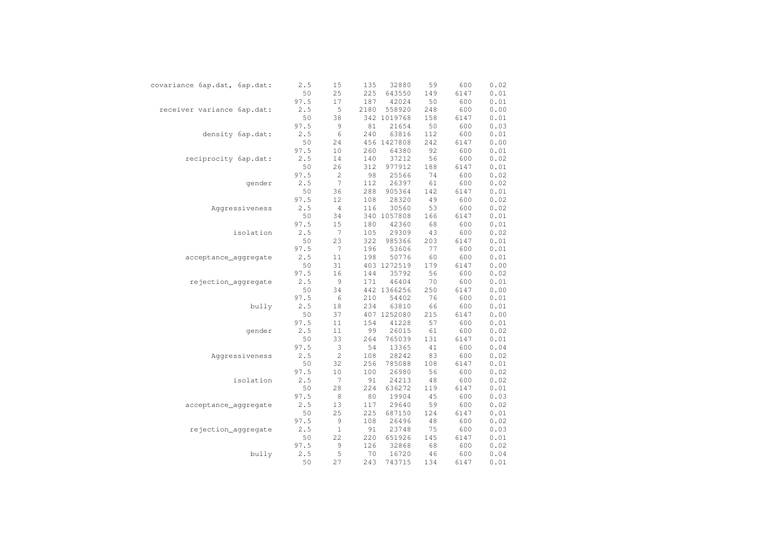| covariance 6ap.dat, 6ap.dat: | 2.5  | 15          | 135  | 32880       | 59  | 600  | 0.02 |
|------------------------------|------|-------------|------|-------------|-----|------|------|
|                              | 50   | 25          | 225  | 643550      | 149 | 6147 | 0.01 |
|                              | 97.5 | 17          | 187  | 42024       | 50  | 600  | 0.01 |
| receiver variance 6ap.dat:   | 2.5  | 5           | 2180 | 558920      | 248 | 600  | 0.00 |
|                              | 50   | 38          |      | 342 1019768 | 158 | 6147 | 0.01 |
|                              | 97.5 | $\mathsf 9$ | 81   | 21654       | 50  | 600  | 0.03 |
| density 6ap.dat:             | 2.5  | 6           | 240  | 63816       | 112 | 600  | 0.01 |
|                              | 50   | 24          |      | 456 1427808 | 242 | 6147 | 0.00 |
|                              | 97.5 | 10          | 260  | 64380       | 92  | 600  | 0.01 |
| reciprocity 6ap.dat:         | 2.5  | 14          | 140  | 37212       | 56  | 600  | 0.02 |
|                              | 50   | 26          | 312  | 977912      | 188 | 6147 | 0.01 |
|                              | 97.5 | $\sqrt{2}$  | 98   | 25566       | 74  | 600  | 0.02 |
| qender                       | 2.5  | 7           | 112  | 26397       | 61  | 600  | 0.02 |
|                              | 50   | 36          | 288  | 905364      | 142 | 6147 | 0.01 |
|                              | 97.5 | 12          | 108  | 28320       | 49  | 600  | 0.02 |
| Aggressiveness               | 2.5  | $\sqrt{4}$  | 116  | 30560       | 53  | 600  | 0.02 |
|                              | 50   | 34          |      | 340 1057808 | 166 | 6147 | 0.01 |
|                              | 97.5 | 15          | 180  | 42360       | 68  | 600  | 0.01 |
| isolation                    | 2.5  | 7           | 105  | 29309       | 43  | 600  | 0.02 |
|                              | 50   | 23          | 322  | 985366      | 203 | 6147 | 0.01 |
|                              | 97.5 | 7           | 196  | 53606       | 77  | 600  | 0.01 |
| acceptance_aggregate         | 2.5  | 11          | 198  | 50776       | 60  | 600  | 0.01 |
|                              | 50   | 31          |      | 403 1272519 | 179 | 6147 | 0.00 |
|                              | 97.5 | 16          | 144  | 35792       | 56  | 600  | 0.02 |
| rejection_aggregate          | 2.5  | 9           | 171  | 46404       | 70  | 600  | 0.01 |
|                              | 50   | 34          |      | 442 1366256 | 250 | 6147 | 0.00 |
|                              | 97.5 | 6           | 210  | 54402       | 76  | 600  | 0.01 |
| bully                        | 2.5  | 18          | 234  | 63810       | 66  | 600  | 0.01 |
|                              | 50   | 37          |      | 407 1252080 | 215 | 6147 | 0.00 |
|                              | 97.5 | 11          | 154  | 41228       | 57  | 600  | 0.01 |
| qender                       | 2.5  | 11          | 99   | 26015       | 61  | 600  | 0.02 |
|                              | 50   | 33          | 264  | 765039      | 131 | 6147 | 0.01 |
|                              | 97.5 | 3           | 54   | 13365       | 41  | 600  | 0.04 |
| Aggressiveness               | 2.5  | 2           | 108  | 28242       | 83  | 600  | 0.02 |
|                              | 50   | 32          | 256  | 785088      | 108 | 6147 | 0.01 |
|                              | 97.5 | 10          | 100  | 26980       | 56  | 600  | 0.02 |
| isolation                    | 2.5  | 7           | 91   | 24213       | 48  | 600  | 0.02 |
|                              | 50   | 28          | 224  | 636272      | 119 | 6147 | 0.01 |
|                              | 97.5 | 8           | 80   | 19904       | 45  | 600  | 0.03 |
| acceptance_aggregate         | 2.5  | 13          | 117  | 29640       | 59  | 600  | 0.02 |
|                              | 50   | 25          | 225  | 687150      | 124 | 6147 | 0.01 |
|                              | 97.5 | 9           | 108  | 26496       | 48  | 600  | 0.02 |
| rejection_aggregate          | 2.5  | $\mathbf 1$ | 91   | 23748       | 75  | 600  | 0.03 |
|                              | 50   | 22          | 220  | 651926      | 145 | 6147 | 0.01 |
|                              | 97.5 | 9           | 126  | 32868       | 68  | 600  | 0.02 |
| bully                        | 2.5  | 5           | 70   | 16720       | 46  | 600  | 0.04 |
|                              | 50   | 27          | 243  | 743715      | 134 | 6147 | 0.01 |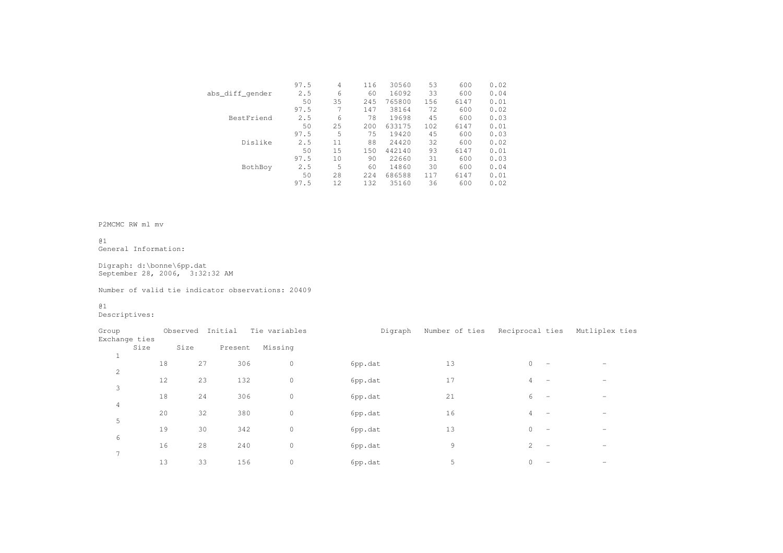|                 | 97.5 | 4   | 116   | 30560  | 53  | 600  | 0.02 |
|-----------------|------|-----|-------|--------|-----|------|------|
| abs_diff_qender | 2.5  | 6   | 60    | 16092  | 33  | 600  | 0.04 |
|                 | 50   | 35  | 245   | 765800 | 156 | 6147 | 0.01 |
|                 | 97.5 |     | 147   | 38164  | 72  | 600  | 0.02 |
| BestFriend      | 2.5  | 6   | 78    | 19698  | 45  | 600  | 0.03 |
|                 | 50   | 25  | 200   | 633175 | 102 | 6147 | 0.01 |
|                 | 97.5 | 5   | 75    | 19420  | 45  | 600  | 0.03 |
| Dislike         | 2.5  | 11  | 88    | 24420  | 32  | 600  | 0.02 |
|                 | 50   | 15  | 150   | 442140 | 93  | 6147 | 0.01 |
|                 | 97.5 | 10  | 90    | 22660  | 31  | 600  | 0.03 |
| BothBoy         | 2.5  | 5   | 60    | 14860  | 30  | 600  | 0.04 |
|                 | 50   | 28  | 2.2.4 | 686588 | 117 | 6147 | 0.01 |
|                 | 97.5 | 12. | 132   | 35160  | 36  | 600  | 0.02 |
|                 |      |     |       |        |     |      |      |

#### P2MCMC RW ml mv

@1.<br>General Information:

Digraph: d:\bonne\6pp.dat September 28, 2006, 3:32:32 AM

#### Number of valid tie indicator observations: 20409

@1.<br>Descriptives:

| Group<br>Exchange ties |      |    | Observed | Initial | Tie variables       | Digraph | Number of ties | Reciprocal ties                            | Mutliplex ties           |
|------------------------|------|----|----------|---------|---------------------|---------|----------------|--------------------------------------------|--------------------------|
|                        | Size |    | Size     | Present | Missing             |         |                |                                            |                          |
| ᆠ                      |      | 18 | 27       | 306     | $\circ$             | 6pp.dat | 13             | $\circ$<br>$\overline{\phantom{m}}$        |                          |
| $\overline{c}$         |      | 12 | 23       | 132     | $\mathbf{0}$        | 6pp.dat | 17             | 4<br>$\overline{\phantom{a}}$              | $\overline{\phantom{0}}$ |
| 3                      |      |    |          |         |                     |         |                |                                            |                          |
| 4                      |      | 18 | 24       | 306     | $\mathsf{O}\xspace$ | 6pp.dat | 21             | 6<br>$\overline{\phantom{a}}$              |                          |
|                        |      | 20 | 32       | 380     | $\mathsf{O}\xspace$ | 6pp.dat | 16             | 4<br>$\overline{\phantom{0}}$              |                          |
| 5                      |      | 19 | 30       | 342     | 0                   | 6pp.dat | 13             | $\circ$<br>$\overline{\phantom{a}}$        | $\overline{\phantom{0}}$ |
| 6                      |      | 16 | 28       | 240     | $\mathsf{O}\xspace$ | 6pp.dat | 9              | $\overline{2}$<br>$\overline{\phantom{a}}$ |                          |
| 7                      |      | 13 | 33       | 156     | $\circ$             | 6pp.dat | 5              | $\circ$<br>$\overline{\phantom{a}}$        | -                        |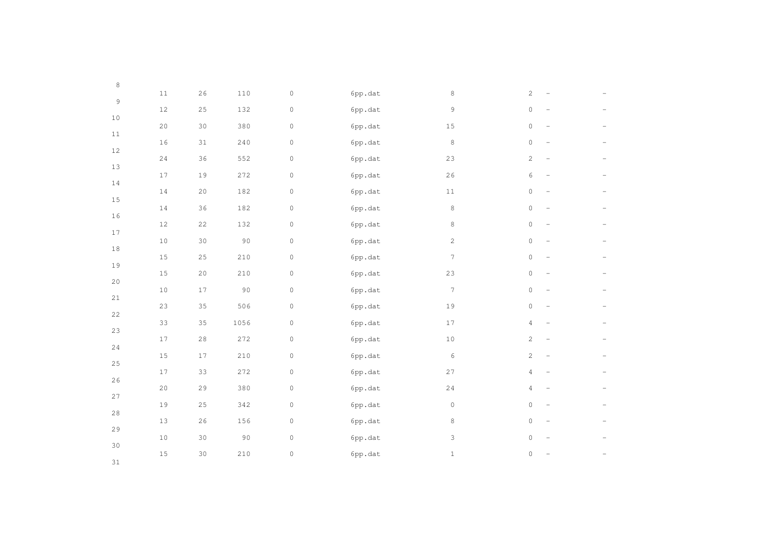| $\,8\,$     |        |             |           |                     |         |                |                                                 |  |
|-------------|--------|-------------|-----------|---------------------|---------|----------------|-------------------------------------------------|--|
| $\mathsf 9$ | $1\,1$ | 26          | 110       | $\mathbb O$         | 6pp.dat | 8              | $\sqrt{2}$                                      |  |
|             | $12\,$ | 25          | 132       | $\mathsf{O}\xspace$ | 6pp.dat | 9              | $\circ$                                         |  |
| $10$        | 20     | 30          | 380       | $\mathsf{O}\xspace$ | 6pp.dat | $15\,$         | $\circ$<br>$\overline{\phantom{0}}$             |  |
| 11          | 16     | $31\,$      | 240       | $\mathbb O$         | 6pp.dat | 8              | $\mathbb O$                                     |  |
| $12\,$      | $2\,4$ | 36          | 552       | $\mathbb O$         | 6pp.dat | 23             | $\mathbf{2}$<br>$\overline{\phantom{0}}$        |  |
| $13$        | $17$   | 19          | 272       | $\mathsf{O}\xspace$ | 6pp.dat | 26             | 6<br>$\overline{\phantom{0}}$                   |  |
| 14          | $1\,4$ | $20\,$      | 182       | $\mathbb O$         | 6pp.dat | $1\,1$         | $\circ$                                         |  |
| 15          | $1\,4$ | 36          | 182       | $\mathbb O$         | 6pp.dat | $\,8\,$        | $\mathbb O$<br>$\overline{\phantom{0}}$         |  |
| $16$        | $12\,$ | $2\sqrt{2}$ | 132       | $\mathsf{O}\xspace$ | 6pp.dat | $\,8\,$        | $\mathsf{O}\xspace$                             |  |
| $17\,$      | $10$   | 30          | 90        | $\mathbb O$         | 6pp.dat | $\overline{c}$ | $\mathbb O$<br>$\overline{\phantom{m}}$         |  |
| $1\,8$      |        |             |           |                     |         | 7              | $\circ$                                         |  |
| 19          | $15\,$ | $2\,5$      | $210$     | $\mathsf{O}\xspace$ | 6pp.dat |                | $\overline{\phantom{a}}$                        |  |
| $20$        | $1\,5$ | $20$        | 210       | $\mathbb O$         | 6pp.dat | 23             | $\circ$<br>$\overline{\phantom{0}}$             |  |
| 21          | $10$   | $1\,7$      | $90$      | $\mathbb O$         | 6pp.dat | $7\phantom{.}$ | $\mathsf{O}\xspace$<br>$\overline{\phantom{0}}$ |  |
| 22          | 23     | 35          | 506       | $\mathsf{O}\xspace$ | 6pp.dat | 19             | $\mathsf{O}\xspace$                             |  |
| 23          | 33     | 35          | 1056      | $\mathsf{O}\xspace$ | 6pp.dat | 17             | $\overline{4}$<br>$\qquad \qquad -$             |  |
| 24          | $17\,$ | $2\,8$      | 272       | $\mathsf{O}\xspace$ | 6pp.dat | $10$           | $\mathbf{2}$<br>$\overline{\phantom{0}}$        |  |
| $2\,5$      | $1\,5$ | $17$        | $2\,1\,0$ | $\mathsf{O}\xspace$ | 6pp.dat | 6              | $\mathbf{2}$<br>$\overline{\phantom{0}}$        |  |
|             | $17\,$ | 33          | 272       | $\mathbb O$         | 6pp.dat | $2\,7$         | $\overline{4}$<br>$\overline{\phantom{0}}$      |  |
| 26          | 20     | 29          | 380       | $\mathbb O$         | 6pp.dat | 24             | $\overline{4}$                                  |  |
| 27          | 19     | $2\,5$      | 342       | $\mathsf{O}\xspace$ | 6pp.dat | $\circ$        | $\circ$<br>$\qquad \qquad -$                    |  |
| 28          | $13$   | 26          | 156       | $\mathsf{O}\xspace$ | 6pp.dat | 8              | $\circ$<br>$\overline{\phantom{0}}$             |  |
| 29          | $10$   | $30$        | $90\,$    | $\mathbb O$         | 6pp.dat | 3              | $\circ$                                         |  |
| 30          | $15\,$ | 30          | $210$     | $\mathsf{O}\xspace$ | 6pp.dat | $1\,$          | $\mathsf{O}\xspace$                             |  |
| 31          |        |             |           |                     |         |                |                                                 |  |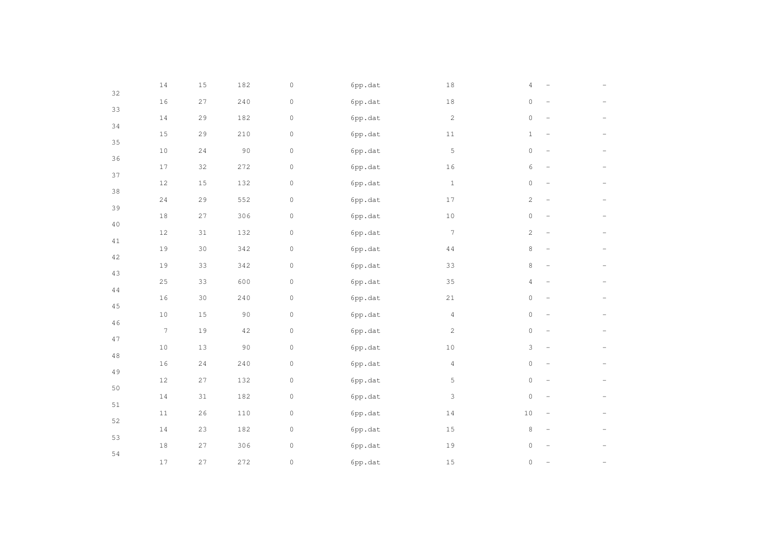| 32     | $1\,4$           | $1\,5$ | 182         | $\mathbb O$         | 6pp.dat | $1\,8$         | 4                   |                          |  |
|--------|------------------|--------|-------------|---------------------|---------|----------------|---------------------|--------------------------|--|
|        | $1\,6$           | 27     | 240         | $\mathsf{O}\xspace$ | 6pp.dat | $1\,8$         | $\circ$             | $\overline{\phantom{0}}$ |  |
| 33     | $1\,4$           | 29     | 182         | $\mathsf{O}\xspace$ | 6pp.dat | $\overline{2}$ | $\mathbb O$         | $\qquad \qquad -$        |  |
| 34     | $1\,5$           | 29     | 210         | $\mathsf{O}\xspace$ | 6pp.dat | $1\,1$         | $\mathbf{1}$        | $\overline{\phantom{a}}$ |  |
| 35     | $1\,0$           | $2\,4$ | $90\,$      | $\mathbb O$         | 6pp.dat | 5              | $\mathsf{O}\xspace$ | $\overline{\phantom{0}}$ |  |
| 36     | $17\,$           | 32     | 272         | $\mathbb O$         | 6pp.dat | 16             | 6                   | $\overline{\phantom{0}}$ |  |
| 37     | $12\,$           | $1\,5$ | 132         | $\mathsf{O}\xspace$ | 6pp.dat | $1\,$          | $\mathsf{O}\xspace$ |                          |  |
| $38\,$ | 24               | 29     | 552         | $\mathsf{O}\xspace$ | 6pp.dat | 17             | $\mathbf{2}$        | $\qquad \qquad -$        |  |
| 39     | $1\,8$           | 27     | 306         | $\mathsf{O}\xspace$ | 6pp.dat | $10\,$         | $\mathsf{O}\xspace$ | $\overline{\phantom{0}}$ |  |
| $4\,0$ | $12\,$           | $31\,$ | 132         | $\mathbb O$         | 6pp.dat | 7              | 2                   | $\qquad \qquad -$        |  |
| 41     | $1\,9$           | 30     | 342         | $\mathbb O$         | 6pp.dat | $4\,4$         | 8                   | $\overline{\phantom{0}}$ |  |
| 42     | 19               | 33     | 342         | $\mathbb O$         | 6pp.dat | 33             | $\,8\,$             |                          |  |
| 43     | 25               | 33     | 600         | $\mathsf{O}\xspace$ | 6pp.dat | 35             | $\overline{4}$      | $\overline{\phantom{0}}$ |  |
| 44     | $16\,$           | $30$   | 240         | $\mathsf{O}\xspace$ | 6pp.dat | 21             | $\mathsf{O}\xspace$ | $\qquad \qquad -$        |  |
| $4\,5$ | $1\,0$           | $1\,5$ | $90$        | $\circ$             | 6pp.dat | $\overline{4}$ | $\mathsf{O}\xspace$ | $\qquad \qquad -$        |  |
| 46     | $\boldsymbol{7}$ | 19     | $4\sqrt{2}$ | $\mathsf{O}\xspace$ | 6pp.dat | $\mathbf{2}$   | $\mathbb O$         | $\overline{\phantom{a}}$ |  |
| 47     | $10$             | $13$   | 90          | $\mathbb O$         | 6pp.dat | $1\,0$         | 3                   | $\overline{\phantom{a}}$ |  |
| 48     | $1\,6$           | $2\,4$ | $2\,4\,0$   | $\mathbb O$         | 6pp.dat | $\overline{4}$ | $\mathbb O$         | $\overline{\phantom{0}}$ |  |
| 49     | $12\,$           | 27     | 132         | $\mathsf{O}\xspace$ | 6pp.dat | 5              | $\mathbb O$         |                          |  |
| 50     | $1\,4$           | $31\,$ | 182         | $\mathsf{O}\xspace$ | 6pp.dat | 3              | $\circ$             | $\qquad \qquad -$        |  |
| 51     | $1\,1$           | 26     | $110$       | $\mathbb O$         | 6pp.dat | $1\,4$         | $10$                | $\qquad \qquad -$        |  |
| 52     |                  |        |             |                     |         |                |                     |                          |  |
| 53     | $1\,4$           | 23     | 182         | $\mathsf{O}\xspace$ | 6pp.dat | $1\,5$         | $\,8\,$             | $\qquad \qquad -$        |  |
| 54     | $1\,8$           | 27     | 306         | $\mathsf{O}\xspace$ | 6pp.dat | 19             | 0                   |                          |  |
|        | $17\,$           | 27     | 272         | $\mathsf{O}\xspace$ | 6pp.dat | $1\,5$         | $\mathbf 0$         |                          |  |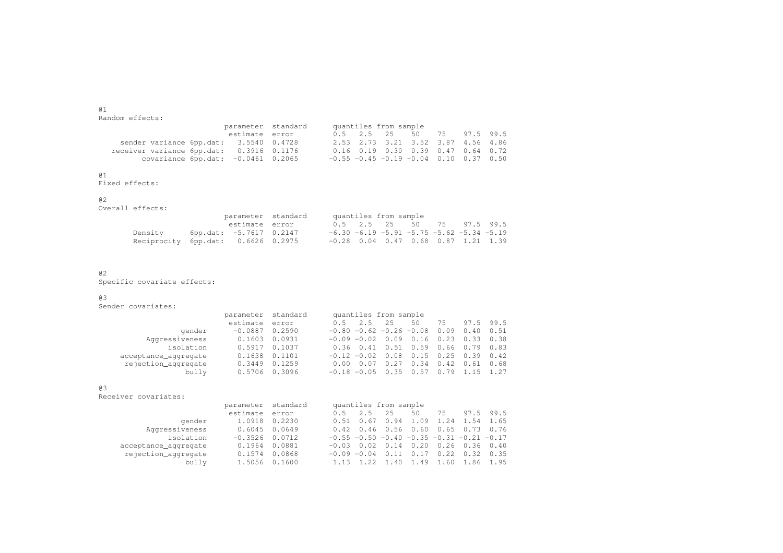@1.<br>Random effects:

|                                          |                | parameter standard | quantiles from sample |  |  |                                                  |  |  |
|------------------------------------------|----------------|--------------------|-----------------------|--|--|--------------------------------------------------|--|--|
|                                          | estimate error |                    |                       |  |  | 0.5 2.5 25 50 75 97.5 99.5                       |  |  |
| sender variance 6pp.dat: 3.5540 0.4728   |                |                    |                       |  |  | 2.53 2.73 3.21 3.52 3.87 4.56 4.86               |  |  |
| receiver variance 6pp.dat: 0.3916 0.1176 |                |                    |                       |  |  | $0.16$ $0.19$ $0.30$ $0.39$ $0.47$ $0.64$ $0.72$ |  |  |
| covariance $6pp.data: -0.0461 0.2065$    |                |                    |                       |  |  | $-0.55 -0.45 -0.19 -0.04$ 0.10 0.37 0.50         |  |  |

#### @1

Fixed effects:

| @ 2              |                    |       |
|------------------|--------------------|-------|
| Overall effects: |                    |       |
|                  | parameter standard | quant |
|                  | estimate error     |       |

|                                    |                         | parameter standard |  | quantiles from sample |  |                                                   |
|------------------------------------|-------------------------|--------------------|--|-----------------------|--|---------------------------------------------------|
|                                    | estimate error          |                    |  |                       |  | 0.5 2.5 25 50 75 97.5 99.5                        |
| Densitv                            | 6pp.dat: -5.7617 0.2147 |                    |  |                       |  | $-6.30 - 6.19 - 5.91 - 5.75 - 5.62 - 5.34 - 5.19$ |
| Reciprocity 6pp.dat: 0.6626 0.2975 |                         |                    |  |                       |  | $-0.28$ 0.04 0.47 0.68 0.87 1.21 1.39             |

# @2

.<br>Specific covariate effects:

# @3

.<br>Sender covariates:

|                      | parameter standard |        | quantiles from sample                                  |
|----------------------|--------------------|--------|--------------------------------------------------------|
|                      | estimate error     |        | 97.5 99.5<br>2.5<br>2.5<br>50<br>0.5<br>75             |
| gender               | $-0.0887$          | 0.2590 | $-0.80 -0.62 -0.26 -0.08$<br>0.09<br>$0.40 \quad 0.51$ |
| Aggressiveness       | 0.1603             | 0.0931 | 0.23<br>0.33<br>$-0.09 - 0.02$<br>0.09<br>0.38<br>0.16 |
| isolation            | 0.5917             | 0.1037 | $0.36$ $0.41$ $0.51$ $0.59$ $0.66$ $0.79$ $0.83$       |
| acceptance_aggregate | 0.1638             | 0.1101 | 0.25<br>0.39<br>$-0.12 - 0.02$<br>0.42<br>0.08<br>0.15 |
| rejection_aggregate  | 0.3449             | 0.1259 | 0.34<br>0.42<br>0.27<br>0.68<br>0.61<br>0.07<br>0.00   |
| bully                | 0.5706             | 0.3096 | 0.79<br>1.27<br>0.57<br>1.15<br>$-0.18 - 0.05$<br>.35  |

### @3

Receiver covariates:

|                      | parameter standard |        |                                             | quantiles from sample |      |      |                  |           |                   |
|----------------------|--------------------|--------|---------------------------------------------|-----------------------|------|------|------------------|-----------|-------------------|
|                      | estimate           | error  | 0.5                                         | 2.5                   | 2.5  | 50   | 75               |           | 97.5 99.5         |
| gender               | 1.0918             | 0.2230 | 0.51                                        | 0.67                  | 0.94 | 1.09 | 1.24             | 1.54 1.65 |                   |
| Aggressiveness       | 0.6045             | 0.0649 | 0.42                                        | 0.46                  | 0.56 | 0.60 | 0.65             |           | $0.73 \quad 0.76$ |
| isolation            | $-0.3526$          | 0.0712 | $-0.55 -0.50 -0.40 -0.35 -0.31 -0.21 -0.17$ |                       |      |      |                  |           |                   |
| acceptance_aggregate | 0.1964             | 0.0881 | $-0.03$                                     | 0.02                  | 0.14 | 0.20 | $0.26$ 0.36 0.40 |           |                   |
| rejection_aggregate  | 0.1574             | 0.0868 | $-0.09 - 0.04$                              |                       | 0.11 | 0.17 | 0.22             | 0.32      | 0.35              |
| bully                | 1.5056             | 0.1600 | 1.13                                        |                       | 1.40 | 1.49 | 1.60             |           | 1.86 1.95         |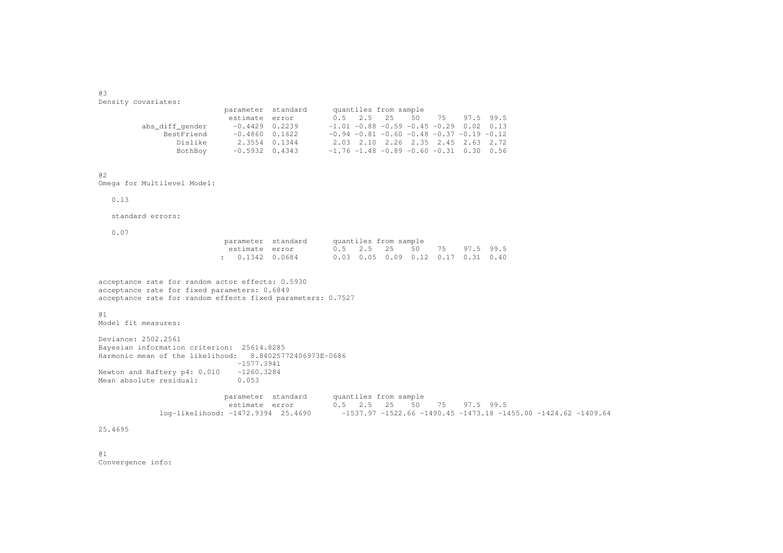@3.<br>Density covariates:

| abs diff gender |                                                                                             |                    |  |                       |                                                                                                                                                                                                                               |
|-----------------|---------------------------------------------------------------------------------------------|--------------------|--|-----------------------|-------------------------------------------------------------------------------------------------------------------------------------------------------------------------------------------------------------------------------|
| BestFriend      |                                                                                             |                    |  |                       |                                                                                                                                                                                                                               |
| Dislike         |                                                                                             |                    |  |                       |                                                                                                                                                                                                                               |
| BothBoy         |                                                                                             |                    |  |                       |                                                                                                                                                                                                                               |
|                 | estimate error<br>$-0.4429$ 0.2239<br>$-0.4860$ 0.1622<br>2.3554 0.1344<br>$-0.5932$ 0.4343 | parameter standard |  | quantiles from sample | 0.5 2.5 25 50 75 97.5 99.5<br>$-1.01 - 0.88 - 0.59 - 0.45 - 0.29$ 0.02 0.13<br>$-0.94$ $-0.81$ $-0.60$ $-0.48$ $-0.37$ $-0.19$ $-0.12$<br>2.03 2.10 2.26 2.35 2.45 2.63 2.72<br>$-1.76 - 1.48 - 0.89 - 0.60 - 0.31$ 0.30 0.56 |

<sup>@2</sup>

Omega for Multilevel Model:

# 0.13

standard errors:

0.07

| parameter standard | quantiles from sample |  |                                      |  |  |
|--------------------|-----------------------|--|--------------------------------------|--|--|
| estimate error     |                       |  | 0.5 2.5 2.5 50 7.5 97.5 99.5         |  |  |
| : 0.1342 0.0684    |                       |  | $0.03$ 0.05 0.09 0.12 0.17 0.31 0.40 |  |  |

acceptance rate for random actor effects: 0.5930 acceptance rate for fixed parameters: 0.6849 acceptance rate for random effects fixed parameters: 0.7527

# @1

.<br>Model fit measures:

Deviance: 2502.2561 Bayesian information criterion: 25614.8285 Harmonic mean of the likelihood: 8.84025772406973E-0686 -1577.3941Newton and Raftery p4: 0.010 -1260.3284 Mean absolute residual: 0.053

> parameter standard quantiles from sample .<br>estimate error  $0.5$  2.5 25 50 75 97.5 99.5 log-likelihood: -1472.9394 25.4690 -1537.97 -1522.66 -1490.45 -1473.18 -1455.00 -1424.62 -1409.64

# 25.4695

@1.<br>Convergence info: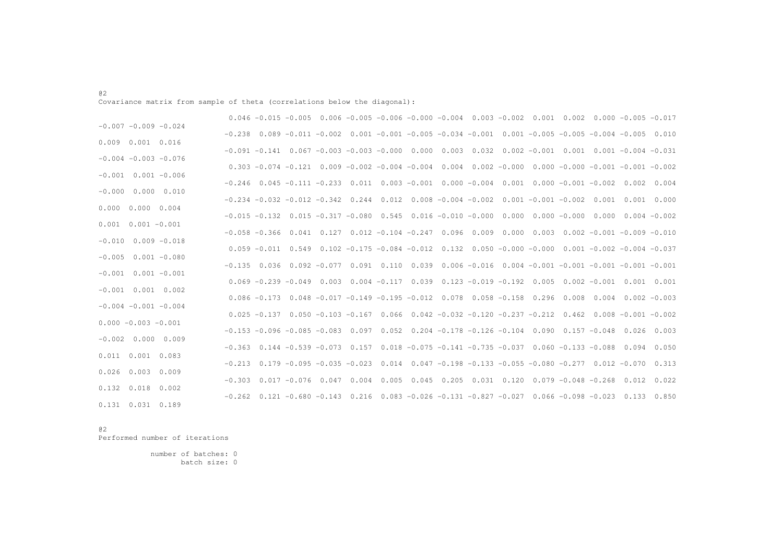# .<br>Covariance matrix from sample of theta (correlations below the diagonal):

|                           |                   | $0.046 - 0.015 - 0.005$ $0.006 - 0.005 - 0.006 - 0.000 - 0.004$ $0.003 - 0.002$ $0.001$ $0.002$ $0.000$ $-0.005$ $-0.017$        |                                                                                                 |  |  |  |  |  |                 |
|---------------------------|-------------------|----------------------------------------------------------------------------------------------------------------------------------|-------------------------------------------------------------------------------------------------|--|--|--|--|--|-----------------|
| $-0.007 - 0.009 - 0.024$  |                   | $-0.238$ 0.089 $-0.011$ $-0.002$ 0.001 $-0.001$ $-0.005$ $-0.034$ $-0.001$ 0.001 $-0.005$ $-0.005$ $-0.004$ $-0.005$ 0.010       |                                                                                                 |  |  |  |  |  |                 |
| $0.009$ $0.001$ $0.016$   |                   |                                                                                                                                  |                                                                                                 |  |  |  |  |  |                 |
| $-0.004 - 0.003 - 0.076$  |                   | $-0.091$ $-0.141$ $0.067$ $-0.003$ $-0.003$ $-0.000$ $0.000$ $0.003$ $0.032$ $0.002$ $-0.001$ $0.001$ $0.001$ $-0.004$ $-0.031$  |                                                                                                 |  |  |  |  |  |                 |
| $-0.001$ $0.001$ $-0.006$ |                   | $0.303 - 0.074 - 0.121$ $0.009 - 0.002 - 0.004 - 0.004$ $0.004$ $0.002 - 0.000$ $0.000 - 0.000 - 0.001 - 0.001 - 0.002$          |                                                                                                 |  |  |  |  |  |                 |
|                           |                   | $-0.246$ 0.045 $-0.111$ $-0.233$ 0.011 0.003 $-0.001$ 0.000 $-0.004$ 0.001 0.000 $-0.001$ $-0.002$ 0.002 0.004                   |                                                                                                 |  |  |  |  |  |                 |
| $-0.000$ $0.000$ $0.010$  |                   | $-0.234$ $-0.032$ $-0.012$ $-0.342$ $0.244$ $0.012$ $0.008$ $-0.004$ $-0.002$ $0.001$ $-0.001$ $-0.002$ $0.001$ $0.001$ $0.000$  |                                                                                                 |  |  |  |  |  |                 |
| $0.000 \t 0.000 \t 0.004$ |                   | $-0.015$ $-0.132$ $0.015$ $-0.317$ $-0.080$ $0.545$ $0.016$ $-0.010$ $-0.000$ $0.000$ $0.000$ $-0.000$ $0.000$ $0.004$ $-0.002$  |                                                                                                 |  |  |  |  |  |                 |
| $0.001$ $0.001$ $-0.001$  |                   | $-0.058$ $-0.366$ $0.041$ $0.127$ $0.012$ $-0.104$ $-0.247$ $0.096$ $0.009$ $0.000$ $0.003$ $0.002$ $-0.001$ $-0.009$ $-0.010$   |                                                                                                 |  |  |  |  |  |                 |
| $-0.010$ $0.009$ $-0.018$ |                   |                                                                                                                                  |                                                                                                 |  |  |  |  |  |                 |
| $-0.005$ 0.001 $-0.080$   |                   | $0.059 - 0.011$ $0.549$ $0.102 - 0.175 - 0.084 - 0.012$ $0.132$ $0.050 - 0.000$ $-0.000$ $0.001$ $-0.002$ $-0.004$ $-0.037$      |                                                                                                 |  |  |  |  |  |                 |
| $-0.001$ $0.001$ $-0.001$ |                   | $-0.135$ 0.036 0.092 $-0.077$ 0.091 0.110 0.039 0.006 $-0.016$ 0.004 $-0.001$ $-0.001$ $-0.001$ $-0.001$ $-0.001$                |                                                                                                 |  |  |  |  |  |                 |
|                           |                   | $0.069 - 0.239 - 0.049$ $0.003$ $0.004 - 0.117$ $0.039$ $0.123 - 0.019 - 0.192$ $0.005$ $0.002 - 0.001$ $0.001$ $0.001$          |                                                                                                 |  |  |  |  |  |                 |
| $-0.001$ $0.001$ $0.002$  |                   | $0.086 - 0.173$ $0.048 - 0.017 - 0.149 - 0.195 - 0.012$ $0.078$ $0.058 - 0.158$ $0.296$ $0.008$ $0.004$ $0.002 - 0.003$          |                                                                                                 |  |  |  |  |  |                 |
| $-0.004 - 0.001 - 0.004$  |                   | $0.025$ $-0.137$ $0.050$ $-0.103$ $-0.167$ $0.066$ $0.042$ $-0.032$ $-0.120$ $-0.237$ $-0.212$ $0.462$ $0.008$ $-0.001$ $-0.002$ |                                                                                                 |  |  |  |  |  |                 |
| $0.000 - 0.003 - 0.001$   |                   |                                                                                                                                  |                                                                                                 |  |  |  |  |  |                 |
| $-0.002$ 0.000 0.009      |                   | $-0.153 - 0.096 - 0.085 - 0.083$ 0.097 0.052 0.204 $-0.178 - 0.126 - 0.104$ 0.090 0.157 $-0.048$ 0.026 0.003                     |                                                                                                 |  |  |  |  |  |                 |
| $0.011$ $0.001$ $0.083$   |                   | $-0.363$ 0.144 $-0.539$ $-0.073$ 0.157 0.018 $-0.075$ $-0.141$ $-0.735$ $-0.037$ 0.060 $-0.133$ $-0.088$ 0.094 0.050             |                                                                                                 |  |  |  |  |  |                 |
|                           |                   | $-0.213$ 0.179 $-0.095$ $-0.035$ $-0.023$ 0.014 0.047 $-0.198$ $-0.133$ $-0.055$ $-0.080$ $-0.277$ 0.012 $-0.070$ 0.313          |                                                                                                 |  |  |  |  |  |                 |
| $0.026$ 0.003             | 0.009             | $-0.303$ 0.017 $-0.076$ 0.047 0.004 0.005 0.045 0.205 0.031 0.120 0.079 $-0.048$ $-0.268$ 0.012 0.022                            |                                                                                                 |  |  |  |  |  |                 |
| $0.132 \quad 0.018$       | 0.002<br>$-0.262$ |                                                                                                                                  | $0.121 - 0.680 - 0.143$ $0.216$ $0.083 - 0.026 - 0.131 - 0.827 - 0.027$ $0.066 - 0.098 - 0.023$ |  |  |  |  |  | $0.133$ $0.850$ |
| $0.131$ $0.031$ $0.189$   |                   |                                                                                                                                  |                                                                                                 |  |  |  |  |  |                 |

@2.<br>Performed number of iterations

> number of batches: 0 batch size: 0

@2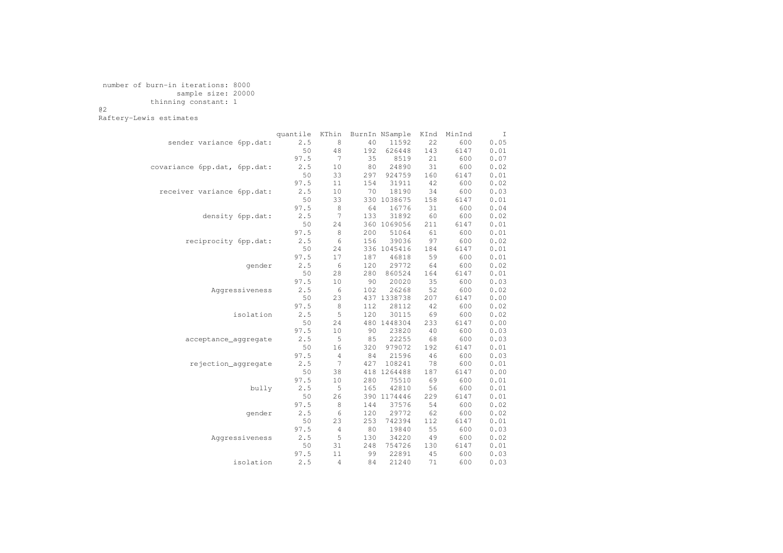# number of burn-in iterations: 8000 sample size: 20000 thinning constant: 1

@2

Raftery-Lewis estimates

|                              | quantile | KThin          |     | BurnIn NSample | KInd | MinInd | I    |
|------------------------------|----------|----------------|-----|----------------|------|--------|------|
| sender variance 6pp.dat:     | 2.5      | 8              | 40  | 11592          | 22   | 600    | 0.05 |
|                              | 50       | 48             | 192 | 626448         | 143  | 6147   | 0.01 |
|                              | 97.5     | 7              | 35  | 8519           | 21   | 600    | 0.07 |
| covariance 6pp.dat, 6pp.dat: | 2.5      | 10             | 80  | 24890          | 31   | 600    | 0.02 |
|                              | 50       | 33             | 297 | 924759         | 160  | 6147   | 0.01 |
|                              | 97.5     | 11             | 154 | 31911          | 42   | 600    | 0.02 |
| receiver variance 6pp.dat:   | 2.5      | 10             | 70  | 18190          | 34   | 600    | 0.03 |
|                              | 50       | 33             |     | 330 1038675    | 158  | 6147   | 0.01 |
|                              | 97.5     | 8              | 64  | 16776          | 31   | 600    | 0.04 |
| density 6pp.dat:             | 2.5      | 7              | 133 | 31892          | 60   | 600    | 0.02 |
|                              | 50       | 24             |     | 360 1069056    | 211  | 6147   | 0.01 |
|                              | 97.5     | $\,8\,$        | 200 | 51064          | 61   | 600    | 0.01 |
| reciprocity 6pp.dat:         | 2.5      | 6              | 156 | 39036          | 97   | 600    | 0.02 |
|                              | 50       | 24             |     | 336 1045416    | 184  | 6147   | 0.01 |
|                              | 97.5     | 17             | 187 | 46818          | 59   | 600    | 0.01 |
| qender                       | 2.5      | 6              | 120 | 29772          | 64   | 600    | 0.02 |
|                              | 50       | 28             | 280 | 860524         | 164  | 6147   | 0.01 |
|                              | 97.5     | 10             | 90  | 20020          | 35   | 600    | 0.03 |
| Aggressiveness               | 2.5      | 6              | 102 | 26268          | 52   | 600    | 0.02 |
|                              | 50       | 23             |     | 437 1338738    | 207  | 6147   | 0.00 |
|                              | 97.5     | 8              | 112 | 28112          | 42   | 600    | 0.02 |
| isolation                    | 2.5      | 5              | 120 | 30115          | 69   | 600    | 0.02 |
|                              | 50       | 24             |     | 480 1448304    | 233  | 6147   | 0.00 |
|                              | 97.5     | 10             | 90  | 23820          | 40   | 600    | 0.03 |
| acceptance_aggregate         | 2.5      | 5              | 85  | 22255          | 68   | 600    | 0.03 |
|                              | 50       | 16             | 320 | 979072         | 192  | 6147   | 0.01 |
|                              | 97.5     | 4              | 84  | 21596          | 46   | 600    | 0.03 |
| rejection_aggregate          | 2.5      | 7              | 427 | 108241         | 78   | 600    | 0.01 |
|                              | 50       | 38             | 418 | 1264488        | 187  | 6147   | 0.00 |
|                              | 97.5     | 10             | 280 | 75510          | 69   | 600    | 0.01 |
| bully                        | 2.5      | 5              | 165 | 42810          | 56   | 600    | 0.01 |
|                              | 50       | 26             |     | 390 1174446    | 229  | 6147   | 0.01 |
|                              | 97.5     | 8              | 144 | 37576          | 54   | 600    | 0.02 |
| qender                       | 2.5      | 6              | 120 | 29772          | 62   | 600    | 0.02 |
|                              | 50       | 23             | 253 | 742394         | 112  | 6147   | 0.01 |
|                              | 97.5     | $\overline{4}$ | 80  | 19840          | 55   | 600    | 0.03 |
| Aggressiveness               | 2.5      | 5              | 130 | 34220          | 49   | 600    | 0.02 |
|                              | 50       | 31             | 248 | 754726         | 130  | 6147   | 0.01 |
|                              | 97.5     | 11             | 99  | 22891          | 45   | 600    | 0.03 |
| isolation                    | 2.5      | 4              | 84  | 21240          | 71   | 600    | 0.03 |